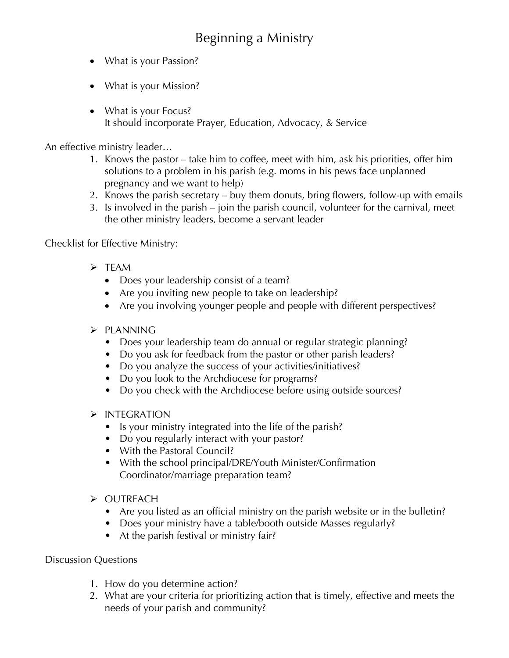## Beginning a Ministry

- What is your Passion?
- What is your Mission?
- What is your Focus? It should incorporate Prayer, Education, Advocacy, & Service

An effective ministry leader…

- 1. Knows the pastor take him to coffee, meet with him, ask his priorities, offer him solutions to a problem in his parish (e.g. moms in his pews face unplanned pregnancy and we want to help)
- 2. Knows the parish secretary buy them donuts, bring flowers, follow-up with emails
- 3. Is involved in the parish join the parish council, volunteer for the carnival, meet the other ministry leaders, become a servant leader

## Checklist for Effective Ministry:

- $\triangleright$  TFAM
	- Does your leadership consist of a team?
	- Are you inviting new people to take on leadership?
	- Are you involving younger people and people with different perspectives?

## $\triangleright$  PLANNING

- Does your leadership team do annual or regular strategic planning?
- Do you ask for feedback from the pastor or other parish leaders?
- Do you analyze the success of your activities/initiatives?
- Do you look to the Archdiocese for programs?
- Do you check with the Archdiocese before using outside sources?
- $\triangleright$  INTEGRATION
	- Is your ministry integrated into the life of the parish?
	- Do you regularly interact with your pastor?
	- With the Pastoral Council?
	- With the school principal/DRE/Youth Minister/Confirmation Coordinator/marriage preparation team?
- Ø OUTREACH
	- Are you listed as an official ministry on the parish website or in the bulletin?
	- Does your ministry have a table/booth outside Masses regularly?
	- At the parish festival or ministry fair?

## Discussion Questions

- 1. How do you determine action?
- 2. What are your criteria for prioritizing action that is timely, effective and meets the needs of your parish and community?